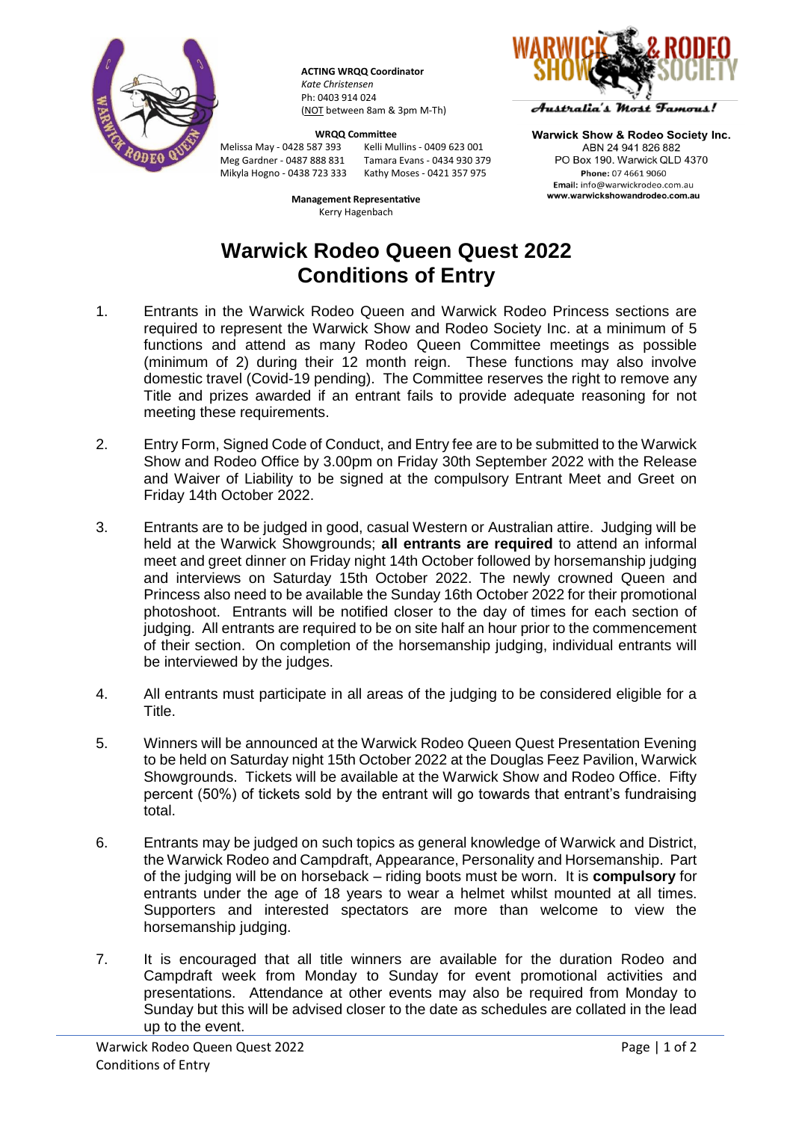

**ACTING WRQQ Coordinator** *Kate Christensen* Ph: 0403 914 024 (NOT between 8am & 3pm M-Th)

Melissa May - 0428 587 393 Mikyla Hogno - 0438 723 333

**WRQQ Committee**<br>87 393 **Mark Wallins - 0409 623 001** Meg Gardner - 0487 888 831 Tamara Evans - 0434 930 379

> **Management Representative** Kerry Hagenbach



Australia's Most Famous!

**Warwick Show & Rodeo Society Inc.** ARN 24 941 826 882 PO Box 190, Warwick QLD 4370 Phone: 07 4661 9060 Email: info@warwickrodeo.com.au www.warwickshowandrodeo.com.au

## **Warwick Rodeo Queen Quest 2022 Conditions of Entry**

- 1. Entrants in the Warwick Rodeo Queen and Warwick Rodeo Princess sections are required to represent the Warwick Show and Rodeo Society Inc. at a minimum of 5 functions and attend as many Rodeo Queen Committee meetings as possible (minimum of 2) during their 12 month reign. These functions may also involve domestic travel (Covid-19 pending). The Committee reserves the right to remove any Title and prizes awarded if an entrant fails to provide adequate reasoning for not meeting these requirements.
- 2. Entry Form, Signed Code of Conduct, and Entry fee are to be submitted to the Warwick Show and Rodeo Office by 3.00pm on Friday 30th September 2022 with the Release and Waiver of Liability to be signed at the compulsory Entrant Meet and Greet on Friday 14th October 2022.
- 3. Entrants are to be judged in good, casual Western or Australian attire. Judging will be held at the Warwick Showgrounds; **all entrants are required** to attend an informal meet and greet dinner on Friday night 14th October followed by horsemanship judging and interviews on Saturday 15th October 2022. The newly crowned Queen and Princess also need to be available the Sunday 16th October 2022 for their promotional photoshoot. Entrants will be notified closer to the day of times for each section of judging. All entrants are required to be on site half an hour prior to the commencement of their section. On completion of the horsemanship judging, individual entrants will be interviewed by the judges.
- 4. All entrants must participate in all areas of the judging to be considered eligible for a Title.
- 5. Winners will be announced at the Warwick Rodeo Queen Quest Presentation Evening to be held on Saturday night 15th October 2022 at the Douglas Feez Pavilion, Warwick Showgrounds. Tickets will be available at the Warwick Show and Rodeo Office. Fifty percent (50%) of tickets sold by the entrant will go towards that entrant's fundraising total.
- 6. Entrants may be judged on such topics as general knowledge of Warwick and District, the Warwick Rodeo and Campdraft, Appearance, Personality and Horsemanship. Part of the judging will be on horseback – riding boots must be worn. It is **compulsory** for entrants under the age of 18 years to wear a helmet whilst mounted at all times. Supporters and interested spectators are more than welcome to view the horsemanship judging.
- 7. It is encouraged that all title winners are available for the duration Rodeo and Campdraft week from Monday to Sunday for event promotional activities and presentations. Attendance at other events may also be required from Monday to Sunday but this will be advised closer to the date as schedules are collated in the lead up to the event.